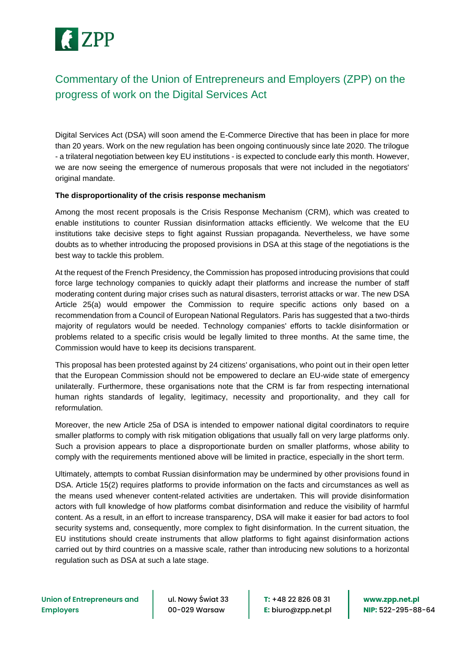

## Commentary of the Union of Entrepreneurs and Employers (ZPP) on the progress of work on the Digital Services Act

Digital Services Act (DSA) will soon amend the E-Commerce Directive that has been in place for more than 20 years. Work on the new regulation has been ongoing continuously since late 2020. The trilogue - a trilateral negotiation between key EU institutions - is expected to conclude early this month. However, we are now seeing the emergence of numerous proposals that were not included in the negotiators' original mandate.

## **The disproportionality of the crisis response mechanism**

Among the most recent proposals is the Crisis Response Mechanism (CRM), which was created to enable institutions to counter Russian disinformation attacks efficiently. We welcome that the EU institutions take decisive steps to fight against Russian propaganda. Nevertheless, we have some doubts as to whether introducing the proposed provisions in DSA at this stage of the negotiations is the best way to tackle this problem.

At the request of the French Presidency, the Commission has proposed introducing provisions that could force large technology companies to quickly adapt their platforms and increase the number of staff moderating content during major crises such as natural disasters, terrorist attacks or war. The new DSA Article 25(a) would empower the Commission to require specific actions only based on a recommendation from a Council of European National Regulators. Paris has suggested that a two-thirds majority of regulators would be needed. Technology companies' efforts to tackle disinformation or problems related to a specific crisis would be legally limited to three months. At the same time, the Commission would have to keep its decisions transparent.

This proposal has been protested against by 24 citizens' organisations, who point out in their open letter that the European Commission should not be empowered to declare an EU-wide state of emergency unilaterally. Furthermore, these organisations note that the CRM is far from respecting international human rights standards of legality, legitimacy, necessity and proportionality, and they call for reformulation.

Moreover, the new Article 25a of DSA is intended to empower national digital coordinators to require smaller platforms to comply with risk mitigation obligations that usually fall on very large platforms only. Such a provision appears to place a disproportionate burden on smaller platforms, whose ability to comply with the requirements mentioned above will be limited in practice, especially in the short term.

Ultimately, attempts to combat Russian disinformation may be undermined by other provisions found in DSA. Article 15(2) requires platforms to provide information on the facts and circumstances as well as the means used whenever content-related activities are undertaken. This will provide disinformation actors with full knowledge of how platforms combat disinformation and reduce the visibility of harmful content. As a result, in an effort to increase transparency, DSA will make it easier for bad actors to fool security systems and, consequently, more complex to fight disinformation. In the current situation, the EU institutions should create instruments that allow platforms to fight against disinformation actions carried out by third countries on a massive scale, rather than introducing new solutions to a horizontal regulation such as DSA at such a late stage.

ul. Nowy Świat 33 00-029 Warsaw

**T:** +48 22 826 08 31 **E:** biuro@zpp.net.pl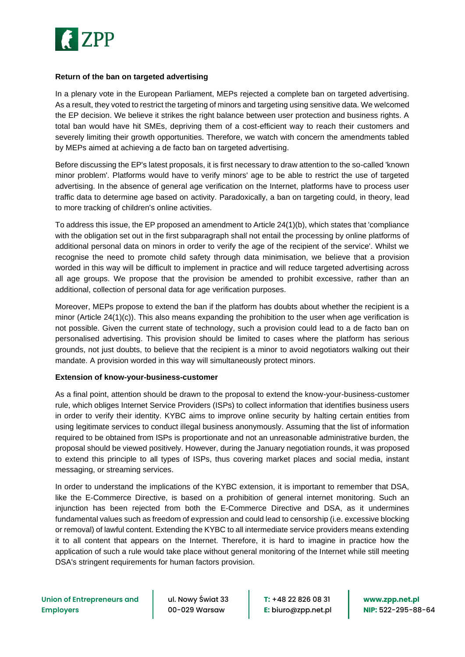

## **Return of the ban on targeted advertising**

In a plenary vote in the European Parliament, MEPs rejected a complete ban on targeted advertising. As a result, they voted to restrict the targeting of minors and targeting using sensitive data. We welcomed the EP decision. We believe it strikes the right balance between user protection and business rights. A total ban would have hit SMEs, depriving them of a cost-efficient way to reach their customers and severely limiting their growth opportunities. Therefore, we watch with concern the amendments tabled by MEPs aimed at achieving a de facto ban on targeted advertising.

Before discussing the EP's latest proposals, it is first necessary to draw attention to the so-called 'known minor problem'. Platforms would have to verify minors' age to be able to restrict the use of targeted advertising. In the absence of general age verification on the Internet, platforms have to process user traffic data to determine age based on activity. Paradoxically, a ban on targeting could, in theory, lead to more tracking of children's online activities.

To address this issue, the EP proposed an amendment to Article 24(1)(b), which states that 'compliance with the obligation set out in the first subparagraph shall not entail the processing by online platforms of additional personal data on minors in order to verify the age of the recipient of the service'. Whilst we recognise the need to promote child safety through data minimisation, we believe that a provision worded in this way will be difficult to implement in practice and will reduce targeted advertising across all age groups. We propose that the provision be amended to prohibit excessive, rather than an additional, collection of personal data for age verification purposes.

Moreover, MEPs propose to extend the ban if the platform has doubts about whether the recipient is a minor (Article 24(1)(c)). This also means expanding the prohibition to the user when age verification is not possible. Given the current state of technology, such a provision could lead to a de facto ban on personalised advertising. This provision should be limited to cases where the platform has serious grounds, not just doubts, to believe that the recipient is a minor to avoid negotiators walking out their mandate. A provision worded in this way will simultaneously protect minors.

## **Extension of know-your-business-customer**

As a final point, attention should be drawn to the proposal to extend the know-your-business-customer rule, which obliges Internet Service Providers (ISPs) to collect information that identifies business users in order to verify their identity. KYBC aims to improve online security by halting certain entities from using legitimate services to conduct illegal business anonymously. Assuming that the list of information required to be obtained from ISPs is proportionate and not an unreasonable administrative burden, the proposal should be viewed positively. However, during the January negotiation rounds, it was proposed to extend this principle to all types of ISPs, thus covering market places and social media, instant messaging, or streaming services.

In order to understand the implications of the KYBC extension, it is important to remember that DSA, like the E-Commerce Directive, is based on a prohibition of general internet monitoring. Such an injunction has been rejected from both the E-Commerce Directive and DSA, as it undermines fundamental values such as freedom of expression and could lead to censorship (i.e. excessive blocking or removal) of lawful content. Extending the KYBC to all intermediate service providers means extending it to all content that appears on the Internet. Therefore, it is hard to imagine in practice how the application of such a rule would take place without general monitoring of the Internet while still meeting DSA's stringent requirements for human factors provision.

ul. Nowy Świat 33 00-029 Warsaw

**T:** +48 22 826 08 31 **E:** biuro@zpp.net.pl